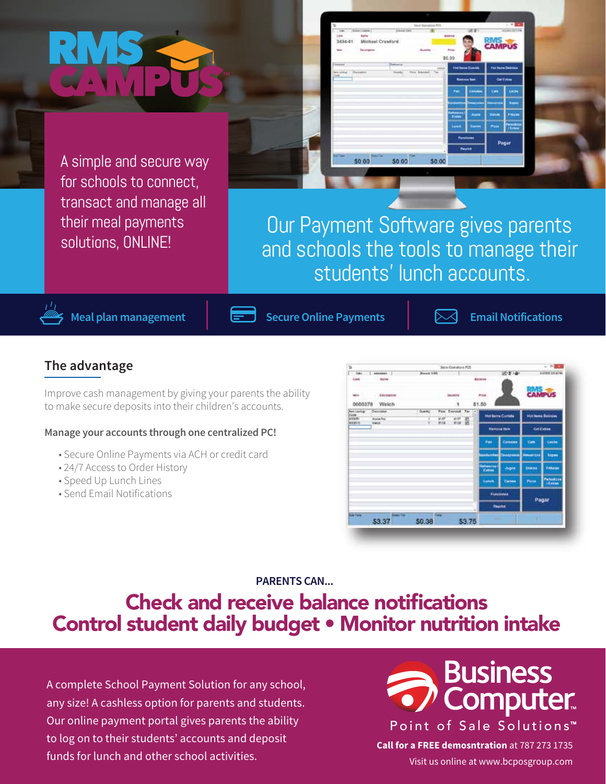A simple and secure way for schools to connect, transact and manage all their meal payments solutions, ONLINE!



\$0.00

\$0.00

Michael Crawl

\$0.00

1434.61



**Meal plan management**  $\left| \right|$   $\left| \right|$  Secure Online Payments

**Email Notifications**

**CAMPUS** 

#### **The advantage**

Improve cash management by giving your parents the ability to make secure deposits into their children's accounts.

#### **Manage your accounts through one centralized PC!**

- Secure Online Payments via ACH or credit card
- 24/7 Access to Order History
- Speed Up Lunch Lines
- Send Email Notifications



**PARENTS CAN...**

## Check and receive balance notifications Control student daily budget • Monitor nutrition intake

A complete School Payment Solution for any school, any size! A cashless option for parents and students. Our online payment portal gives parents the ability to log on to their students' accounts and deposit funds for lunch and other school activities.



**Call for a FREE demosntration** at 787 273 1735 Visit us online at www.bcposgroup.com